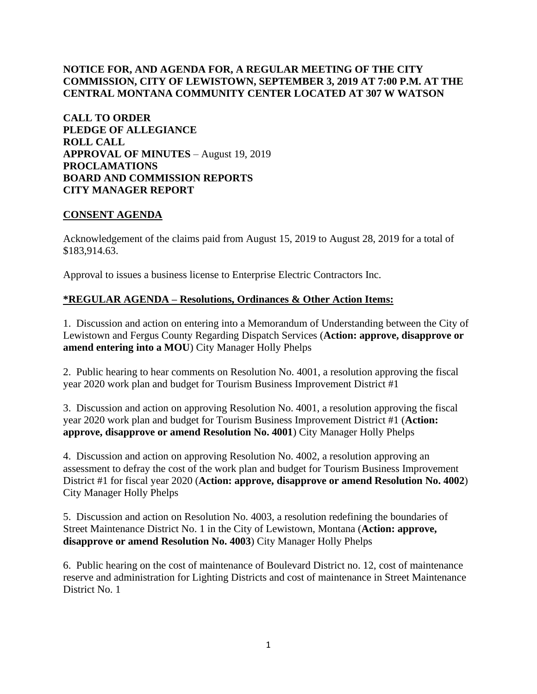# **NOTICE FOR, AND AGENDA FOR, A REGULAR MEETING OF THE CITY COMMISSION, CITY OF LEWISTOWN, SEPTEMBER 3, 2019 AT 7:00 P.M. AT THE CENTRAL MONTANA COMMUNITY CENTER LOCATED AT 307 W WATSON**

**CALL TO ORDER PLEDGE OF ALLEGIANCE ROLL CALL APPROVAL OF MINUTES** – August 19, 2019 **PROCLAMATIONS BOARD AND COMMISSION REPORTS CITY MANAGER REPORT** 

### **CONSENT AGENDA**

Acknowledgement of the claims paid from August 15, 2019 to August 28, 2019 for a total of \$183,914.63.

Approval to issues a business license to Enterprise Electric Contractors Inc.

## **\*REGULAR AGENDA – Resolutions, Ordinances & Other Action Items:**

1. Discussion and action on entering into a Memorandum of Understanding between the City of Lewistown and Fergus County Regarding Dispatch Services (**Action: approve, disapprove or amend entering into a MOU**) City Manager Holly Phelps

2. Public hearing to hear comments on Resolution No. 4001, a resolution approving the fiscal year 2020 work plan and budget for Tourism Business Improvement District #1

3. Discussion and action on approving Resolution No. 4001, a resolution approving the fiscal year 2020 work plan and budget for Tourism Business Improvement District #1 (**Action: approve, disapprove or amend Resolution No. 4001**) City Manager Holly Phelps

4. Discussion and action on approving Resolution No. 4002, a resolution approving an assessment to defray the cost of the work plan and budget for Tourism Business Improvement District #1 for fiscal year 2020 (**Action: approve, disapprove or amend Resolution No. 4002**) City Manager Holly Phelps

5. Discussion and action on Resolution No. 4003, a resolution redefining the boundaries of Street Maintenance District No. 1 in the City of Lewistown, Montana (**Action: approve, disapprove or amend Resolution No. 4003**) City Manager Holly Phelps

6. Public hearing on the cost of maintenance of Boulevard District no. 12, cost of maintenance reserve and administration for Lighting Districts and cost of maintenance in Street Maintenance District No. 1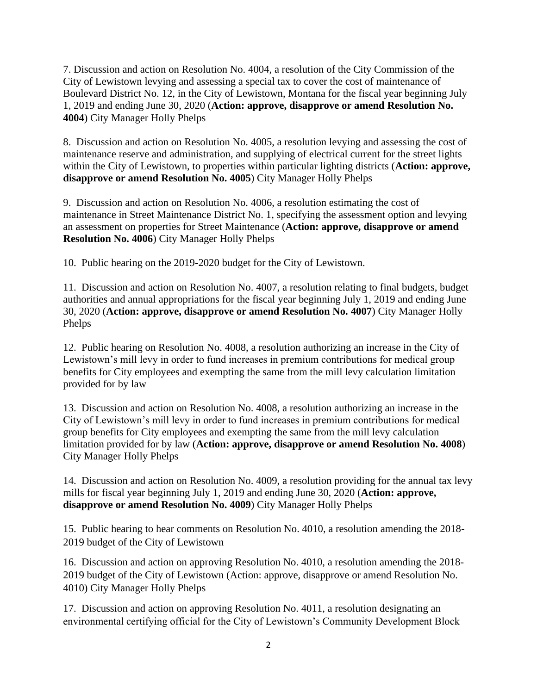7. Discussion and action on Resolution No. 4004, a resolution of the City Commission of the City of Lewistown levying and assessing a special tax to cover the cost of maintenance of Boulevard District No. 12, in the City of Lewistown, Montana for the fiscal year beginning July 1, 2019 and ending June 30, 2020 (**Action: approve, disapprove or amend Resolution No. 4004**) City Manager Holly Phelps

8. Discussion and action on Resolution No. 4005, a resolution levying and assessing the cost of maintenance reserve and administration, and supplying of electrical current for the street lights within the City of Lewistown, to properties within particular lighting districts (**Action: approve, disapprove or amend Resolution No. 4005**) City Manager Holly Phelps

9. Discussion and action on Resolution No. 4006, a resolution estimating the cost of maintenance in Street Maintenance District No. 1, specifying the assessment option and levying an assessment on properties for Street Maintenance (**Action: approve, disapprove or amend Resolution No. 4006**) City Manager Holly Phelps

10. Public hearing on the 2019-2020 budget for the City of Lewistown.

11. Discussion and action on Resolution No. 4007, a resolution relating to final budgets, budget authorities and annual appropriations for the fiscal year beginning July 1, 2019 and ending June 30, 2020 (**Action: approve, disapprove or amend Resolution No. 4007**) City Manager Holly Phelps

12. Public hearing on Resolution No. 4008, a resolution authorizing an increase in the City of Lewistown's mill levy in order to fund increases in premium contributions for medical group benefits for City employees and exempting the same from the mill levy calculation limitation provided for by law

13. Discussion and action on Resolution No. 4008, a resolution authorizing an increase in the City of Lewistown's mill levy in order to fund increases in premium contributions for medical group benefits for City employees and exempting the same from the mill levy calculation limitation provided for by law (**Action: approve, disapprove or amend Resolution No. 4008**) City Manager Holly Phelps

14. Discussion and action on Resolution No. 4009, a resolution providing for the annual tax levy mills for fiscal year beginning July 1, 2019 and ending June 30, 2020 (**Action: approve, disapprove or amend Resolution No. 4009**) City Manager Holly Phelps

15. Public hearing to hear comments on Resolution No. 4010, a resolution amending the 2018- 2019 budget of the City of Lewistown

16. Discussion and action on approving Resolution No. 4010, a resolution amending the 2018- 2019 budget of the City of Lewistown (Action: approve, disapprove or amend Resolution No. 4010) City Manager Holly Phelps

17. Discussion and action on approving Resolution No. 4011, a resolution designating an environmental certifying official for the City of Lewistown's Community Development Block